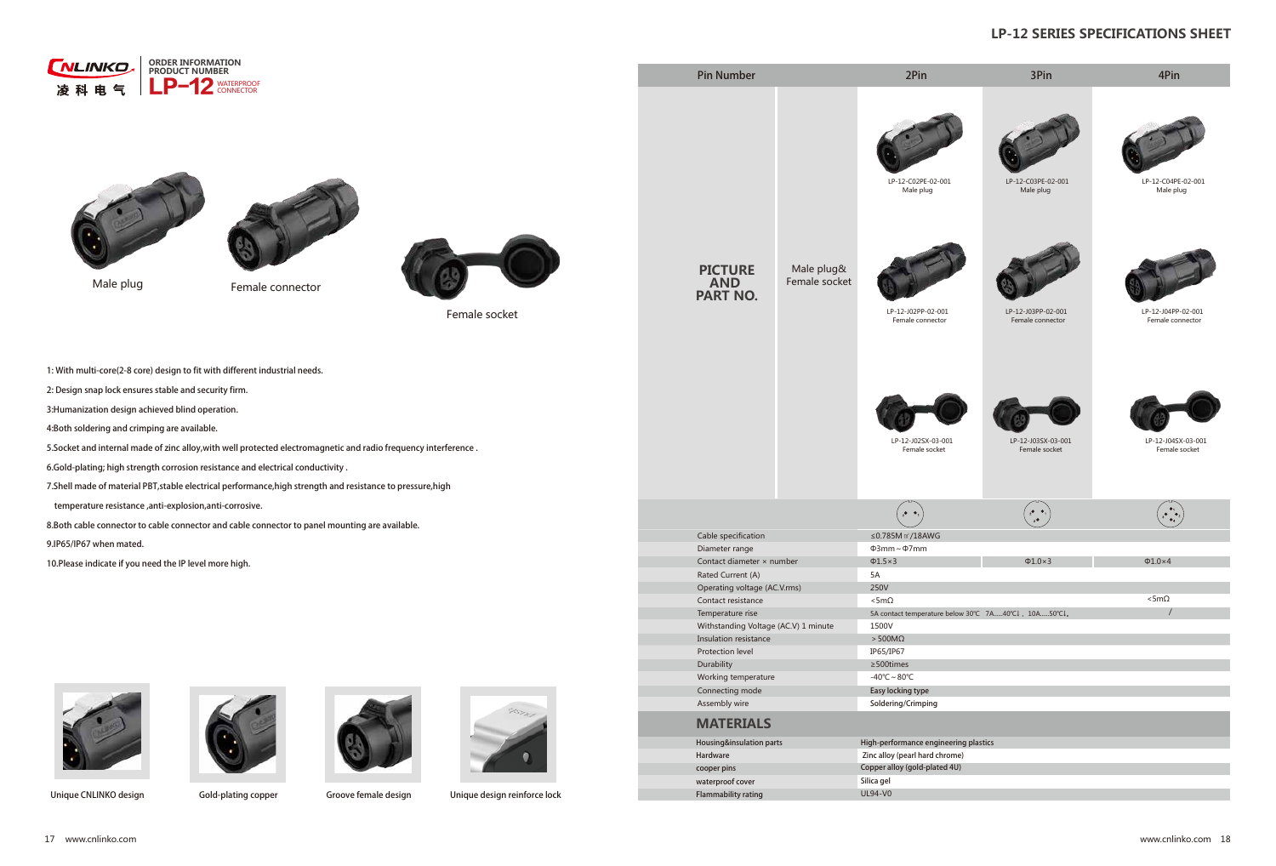| ORDER INFORMATION<br>LINKO<br>PRODUCT NUMBER                                                                                                                                                                                                                                                                                                                                                                                                                                                                                                                           | 1JO / VNCFS                                                                                                                                                                                                                                                           |                                                                                                                                                                                                                                                            | 1 J O<br>1JO                                                                                                                                                                                                                   |                                               | 1 J O                                                                         |  |  |
|------------------------------------------------------------------------------------------------------------------------------------------------------------------------------------------------------------------------------------------------------------------------------------------------------------------------------------------------------------------------------------------------------------------------------------------------------------------------------------------------------------------------------------------------------------------------|-----------------------------------------------------------------------------------------------------------------------------------------------------------------------------------------------------------------------------------------------------------------------|------------------------------------------------------------------------------------------------------------------------------------------------------------------------------------------------------------------------------------------------------------|--------------------------------------------------------------------------------------------------------------------------------------------------------------------------------------------------------------------------------|-----------------------------------------------|-------------------------------------------------------------------------------|--|--|
| WATERPROOF<br>CONNECTOR<br>$\sim$ $-$<br>凌科电气                                                                                                                                                                                                                                                                                                                                                                                                                                                                                                                          |                                                                                                                                                                                                                                                                       |                                                                                                                                                                                                                                                            | LP-12-C02PE-02-001<br>Male plug                                                                                                                                                                                                | LP-12-C03PE-02-001<br>Male plug               | LP-12-C04PE-02-001<br>Male plug                                               |  |  |
| Male plug<br>Female connector<br>Female socket                                                                                                                                                                                                                                                                                                                                                                                                                                                                                                                         | <b>PICTURE</b><br><b>AND</b><br>PART NO.                                                                                                                                                                                                                              | Male plug&<br>Female socket                                                                                                                                                                                                                                | LP-12-J02PP-02-001<br>Female connector                                                                                                                                                                                         | LP-12-J03PP-02-001<br>Female connector        | LP-12-J04PP-02-001<br>Female connector                                        |  |  |
| 8 JUI NVMUJ DPSF<br>DPSF EFTJHOUSUPBGIJOFXFEUTI EJGGFSFOU JOEVT<br>%FTJHO TOBQ MPDL FOTVSFT TUBCMF BOE TFDVSJUZ GJSN<br>) VNBOJ[BUJPO EFTJHO BDIJFWFE CMJOE PQFSBUJPO<br>#PUI TPMEFSJOH BOE DSJNQJOH BSF BWBJMBCMF<br>4 P D L F U B O E J O U F S O B M N B E F P G [J O FDD BJ 18 RINR E HXQJFUU JXDF BJ QME QSSEPELUFFD GISE RFWFOD Z J O U F S G F S F O D F<br>(PME QMBUJOH IJHI TUSFOHUI DPS SBRMT DRPOO SYTD UTUWBJOUZIF BOE FMFDUSJD<br>4 IFM M N B E F P G N B U F S J B M 1 # 5 T U B C M TF UFSNFFOLHULS JEDGEMS SOFFTSJGFUSDOGDOFPILGHST FT T V S F I J H I |                                                                                                                                                                                                                                                                       |                                                                                                                                                                                                                                                            | LP-12-J02SX-03-001<br>Female socket                                                                                                                                                                                            | LP-12-J03SX-03-001<br>Female socket           | LP-12-J04SX-03-001<br>Female socket                                           |  |  |
| UFNQFSBUVSF SFTJTUBODF BOUJ FYQMPTJPO BOUJ DPSSPTJWF<br># PUI DBCM F DPOOFDUPS UP DBCM F DPO@DFODNPSN BOGUDL®CHMEFSDFEOWDEFDMUPLGMUF                                                                                                                                                                                                                                                                                                                                                                                                                                   |                                                                                                                                                                                                                                                                       |                                                                                                                                                                                                                                                            | $\phi$ ,                                                                                                                                                                                                                       | $\frac{1}{2}$ $\bullet$ $\frac{1}{2}$<br>$_3$ | $\left(\begin{array}{c}\bullet_{1}\\ \bullet\\ \bullet_{4}\end{array}\right)$ |  |  |
| *1 *1 XIFO NBUFE                                                                                                                                                                                                                                                                                                                                                                                                                                                                                                                                                       | Cable specification<br>Diameter range                                                                                                                                                                                                                                 |                                                                                                                                                                                                                                                            |                                                                                                                                                                                                                                |                                               |                                                                               |  |  |
| 1MFBTF JOEJDBUF JG ZPV OFFE UIF *1 MFWFM NPSF IJHI                                                                                                                                                                                                                                                                                                                                                                                                                                                                                                                     | )UTZGIZ JOGSKZKX ~ T[SHKX<br>Rated Current (A)<br>Operating voltage (AC.V.rms)<br>Contact resistance<br>Temperature rise<br>Withstanding Voltage (AC.V) 1 minute<br>Insulation resistance<br>Protection level<br>Durability<br>Working temperature<br>Connecting mode |                                                                                                                                                                                                                                                            | P SS½P SS<br>$P^{\sim}$<br>$P^{\sim}$<br>$P^{\sim}$<br>5A<br><b>250V</b><br>$"$ SS<br>$"$ SS<br>' IUTZGIZ ZKSVKXGZ[XK H.K.RU]Sk - '' - \$ž<br>1500V<br>3S<br>IP65/IP67<br>^ ZOSKY<br>$-1/2$ -<br>& B T Z M P D L J O H U Z Q F |                                               |                                                                               |  |  |
|                                                                                                                                                                                                                                                                                                                                                                                                                                                                                                                                                                        |                                                                                                                                                                                                                                                                       |                                                                                                                                                                                                                                                            |                                                                                                                                                                                                                                |                                               |                                                                               |  |  |
| 6OJRVF \$/-*/,0 EFTJHO (PME QMBUJOH DPQ @ SPWF GFNBMF EF TOH QVF EFTJHO SFJOGPSDF MPDL                                                                                                                                                                                                                                                                                                                                                                                                                                                                                 | <b>MATERIALS</b><br>) B S E X B S F<br>DPPQFS QJOT                                                                                                                                                                                                                    | Assembly wire<br>4 PMEFSJOH \$SJNQJOH<br>) PVTJOH JOTVMBUJPO QBSUT) JHI QFSGPSNBODF FOHJOFFSJOH QMBTUJDT<br>; JOD BMMPZ QFBSM IBSE DISPNF<br>\$PQQFS BMMPZ HPME QMBUFE 6<br>XBUFSQSPPG DPWFS<br>4 J M J D B H F M<br><b>UL94-V0</b><br>'MBNNBCJMJUZ SBUJOH |                                                                                                                                                                                                                                |                                               |                                                                               |  |  |

## LP-12 SERIES SPECIFICATIONS SHEET